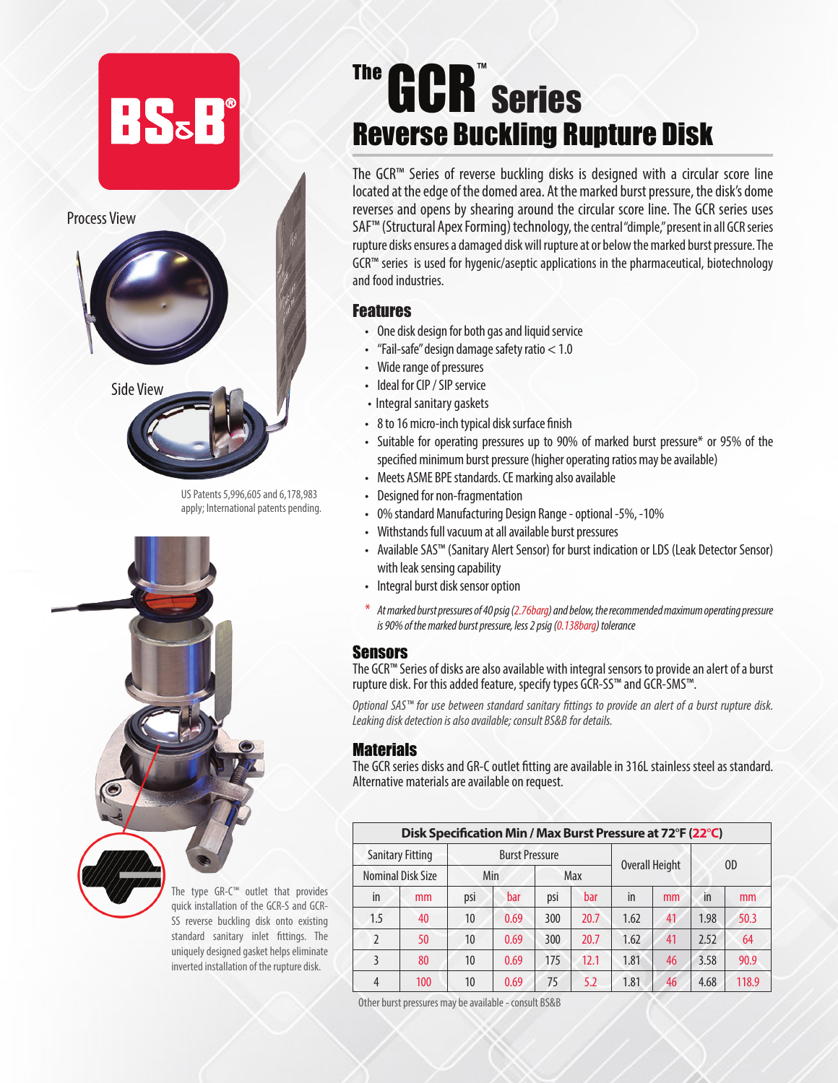

US Patents 5,996,605 and 6,178,983 apply; International patents pending.



quick installation of the GCR-S and GCR-SS reverse buckling disk onto existing standard sanitary inlet fittings. The uniquely designed gasket helps eliminate inverted installation of the rupture disk.

# ™ GCR Series Reverse Buckling Rupture Disk

The GCR™ Series of reverse buckling disks is designed with a circular score line located at the edge of the domed area. At the marked burst pressure, the disk's dome reverses and opens by shearing around the circular score line. The GCR series uses SAF™ (Structural Apex Forming) technology, the central "dimple," present in all GCR series rupture disks ensures a damaged disk will rupture at or below the marked burst pressure. The GCR™ series is used for hygenic/aseptic applications in the pharmaceutical, biotechnology and food industries.

#### Features

- One disk design for both gas and liquid service
- "Fail-safe" design damage safety ratio < 1.0
- Wide range of pressures
- Ideal for CIP / SIP service
- Integral sanitary gaskets
- 8 to 16 micro-inch typical disk surface finish
- Suitable for operating pressures up to 90% of marked burst pressure\* or 95% of the specified minimum burst pressure (higher operating ratios may be available)
- Meets ASME BPE standards. CE marking also available
- Designed for non-fragmentation
- 0% standard Manufacturing Design Range optional -5%, -10%
- Withstands full vacuum at all available burst pressures
- Available SAS™ (Sanitary Alert Sensor) for burst indication or LDS (Leak Detector Sensor) with leak sensing capability
- Integral burst disk sensor option
- \* *At marked burst pressures of 40 psig (2.76barg) and below, the recommended maximum operating pressure is 90% of the marked burst pressure, less 2 psig (0.138barg) tolerance*

#### Sensors

The GCR™ Series of disks are also available with integral sensors to provide an alert of a burst rupture disk. For this added feature, specify types GCR-SS™ and GCR-SMS™.

*Optional SAS™ for use between standard sanitary fittings to provide an alert of a burst rupture disk. Leaking disk detection is also available; consult BS&B for details.*

#### Materials

The GCR series disks and GR-C outlet fitting are available in 316L stainless steel as standard. Alternative materials are available on request.

| Disk Specification Min / Max Burst Pressure at 72°F (22°C) |                         |     |                       |     |      |                |    |      |       |
|------------------------------------------------------------|-------------------------|-----|-----------------------|-----|------|----------------|----|------|-------|
|                                                            | <b>Sanitary Fitting</b> |     | <b>Burst Pressure</b> |     |      |                |    |      |       |
|                                                            | Nominal Disk Size       |     | Min                   |     | Max  | Overall Height |    |      | 0D    |
| in                                                         | mm                      | DSI | bar                   | psi | bar  | in             | mm | in   | mm    |
| 1.5                                                        | 40                      | 10  | 0.69                  | 300 | 20.7 | 1.62           | 41 | 1.98 | 50.3  |
| $\mathfrak{I}$                                             | 50                      | 10  | 0.69                  | 300 | 20.7 | 1.62           | 41 | 2.52 | 64    |
| 3                                                          | 80                      | 10  | 0.69                  | 175 | 12.1 | 1.81           | 46 | 3.58 | 90.9  |
| 4                                                          | 100                     | 10  | 0.69                  | 75  | 5.2  | 1.81           | 46 | 4.68 | 118.9 |

Other burst pressures may be available - consult BS&B